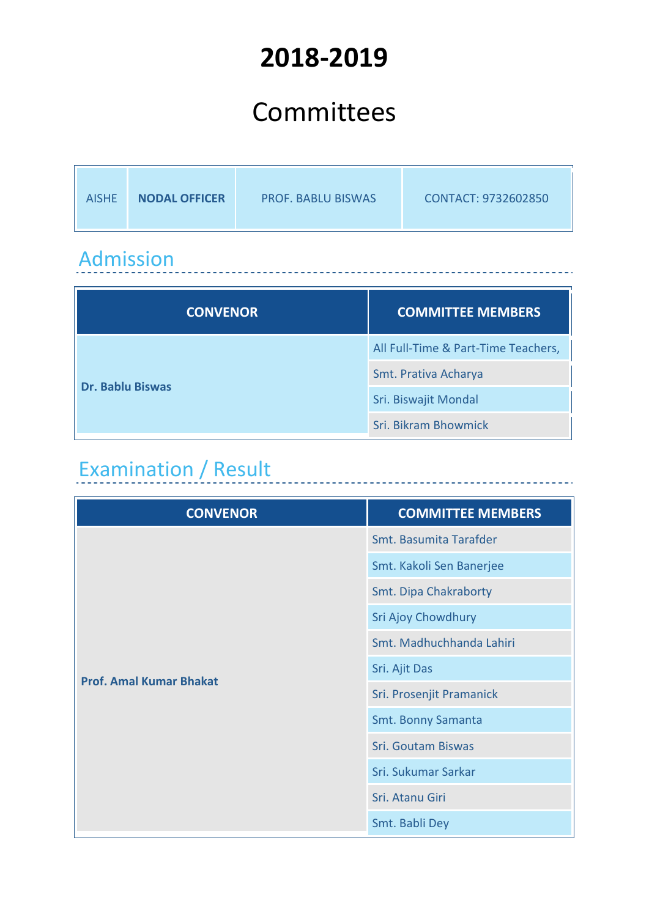# **2018-2019**

# Committees

| <b>NODAL OFFICER</b><br><b>AISHF</b> | <b>PROF. BABLU BISWAS</b> | CONTACT: 9732602850 |
|--------------------------------------|---------------------------|---------------------|
|--------------------------------------|---------------------------|---------------------|

\_\_\_\_\_\_\_\_\_\_\_\_\_\_\_\_\_\_\_\_\_\_\_\_

#### Admission

| <b>CONVENOR</b>         | <b>COMMITTEE MEMBERS</b>            |
|-------------------------|-------------------------------------|
|                         | All Full-Time & Part-Time Teachers, |
| <b>Dr. Bablu Biswas</b> | Smt. Prativa Acharya                |
|                         | Sri. Biswajit Mondal                |
|                         | Sri. Bikram Bhowmick                |

# Examination / Result

| <b>CONVENOR</b>                | <b>COMMITTEE MEMBERS</b>  |
|--------------------------------|---------------------------|
|                                | Smt. Basumita Tarafder    |
|                                | Smt. Kakoli Sen Banerjee  |
|                                | Smt. Dipa Chakraborty     |
|                                | Sri Ajoy Chowdhury        |
|                                | Smt. Madhuchhanda Lahiri  |
| <b>Prof. Amal Kumar Bhakat</b> | Sri. Ajit Das             |
|                                | Sri. Prosenjit Pramanick  |
|                                | <b>Smt. Bonny Samanta</b> |
|                                | <b>Sri. Goutam Biswas</b> |
|                                | Sri. Sukumar Sarkar       |
|                                | Sri. Atanu Giri           |
|                                | Smt. Babli Dey            |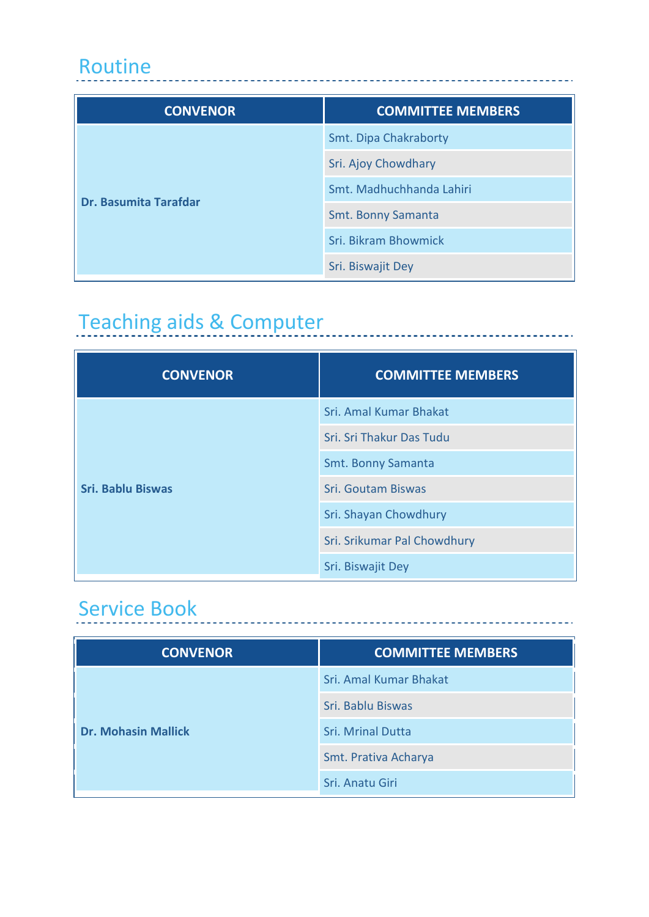#### Routine

| <b>CONVENOR</b>              | <b>COMMITTEE MEMBERS</b>  |
|------------------------------|---------------------------|
| <b>Dr. Basumita Tarafdar</b> | Smt. Dipa Chakraborty     |
|                              | Sri. Ajoy Chowdhary       |
|                              | Smt. Madhuchhanda Lahiri  |
|                              | <b>Smt. Bonny Samanta</b> |
|                              | Sri. Bikram Bhowmick      |
|                              | Sri. Biswajit Dey         |

----------------------------

---------------------

# Teaching aids & Computer<br>
The Computer<br>
The Computer<br>
The Computer<br>
The Computer<br>
The Computer<br>
The Computer<br>
The Computer<br>
The Computer<br>
The Computer<br>
The Computer<br>
The Computer<br>
The Computer<br>
The Computer<br>
The Computer<br>

| <b>CONVENOR</b>          | <b>COMMITTEE MEMBERS</b>    |
|--------------------------|-----------------------------|
|                          | Sri. Amal Kumar Bhakat      |
|                          | Sri. Sri Thakur Das Tudu    |
|                          | Smt. Bonny Samanta          |
| <b>Sri. Bablu Biswas</b> | Sri. Goutam Biswas          |
|                          | Sri. Shayan Chowdhury       |
|                          | Sri. Srikumar Pal Chowdhury |
|                          | Sri. Biswajit Dey           |

#### Service Book

| <b>CONVENOR</b>            | <b>COMMITTEE MEMBERS</b> |
|----------------------------|--------------------------|
|                            | Sri. Amal Kumar Bhakat   |
|                            | Sri. Bablu Biswas        |
| <b>Dr. Mohasin Mallick</b> | <b>Sri. Mrinal Dutta</b> |
|                            | Smt. Prativa Acharya     |
|                            | Sri. Anatu Giri          |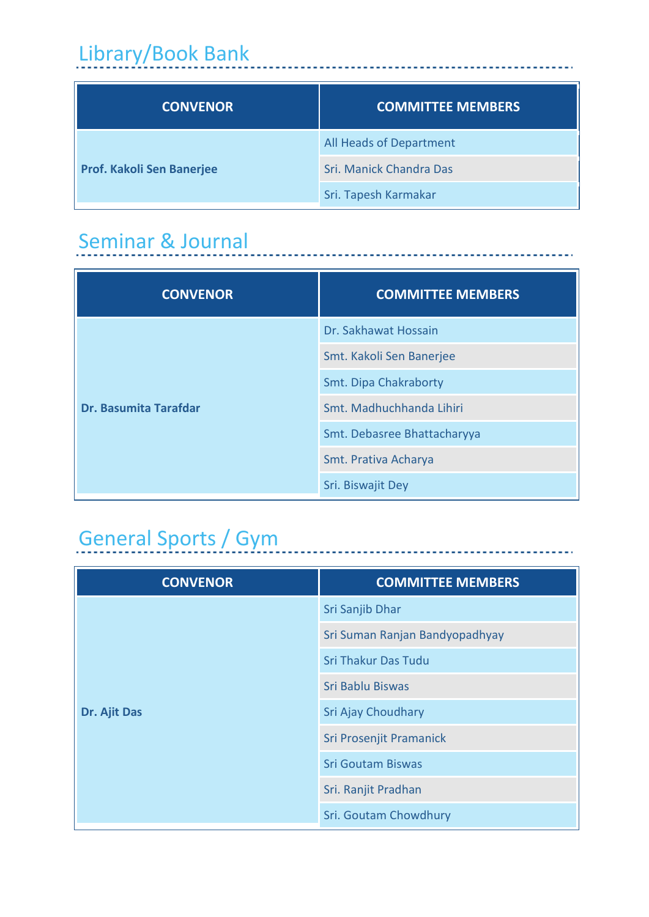# Library/Book Bank

| Library/Book Bank         |                          |
|---------------------------|--------------------------|
| <b>CONVENOR</b>           | <b>COMMITTEE MEMBERS</b> |
| Prof. Kakoli Sen Banerjee | All Heads of Department  |
|                           | Sri. Manick Chandra Das  |
|                           | Sri. Tapesh Karmakar     |

\_\_\_\_\_\_\_\_\_\_\_\_\_\_\_\_\_\_\_\_\_\_\_\_\_\_\_\_\_\_

## Seminar & Journal

| <b>CONVENOR</b>              | <b>COMMITTEE MEMBERS</b>    |
|------------------------------|-----------------------------|
|                              | Dr. Sakhawat Hossain        |
|                              | Smt. Kakoli Sen Banerjee    |
|                              | Smt. Dipa Chakraborty       |
| <b>Dr. Basumita Tarafdar</b> | Smt. Madhuchhanda Lihiri    |
|                              | Smt. Debasree Bhattacharyya |
|                              | Smt. Prativa Acharya        |
|                              | Sri. Biswajit Dey           |

# General Sports / Gym

| <b>CONVENOR</b> | <b>COMMITTEE MEMBERS</b>       |
|-----------------|--------------------------------|
|                 | Sri Sanjib Dhar                |
|                 | Sri Suman Ranjan Bandyopadhyay |
|                 | <b>Sri Thakur Das Tudu</b>     |
|                 | Sri Bablu Biswas               |
| Dr. Ajit Das    | Sri Ajay Choudhary             |
|                 | Sri Prosenjit Pramanick        |
|                 | <b>Sri Goutam Biswas</b>       |
|                 | Sri. Ranjit Pradhan            |
|                 | Sri. Goutam Chowdhury          |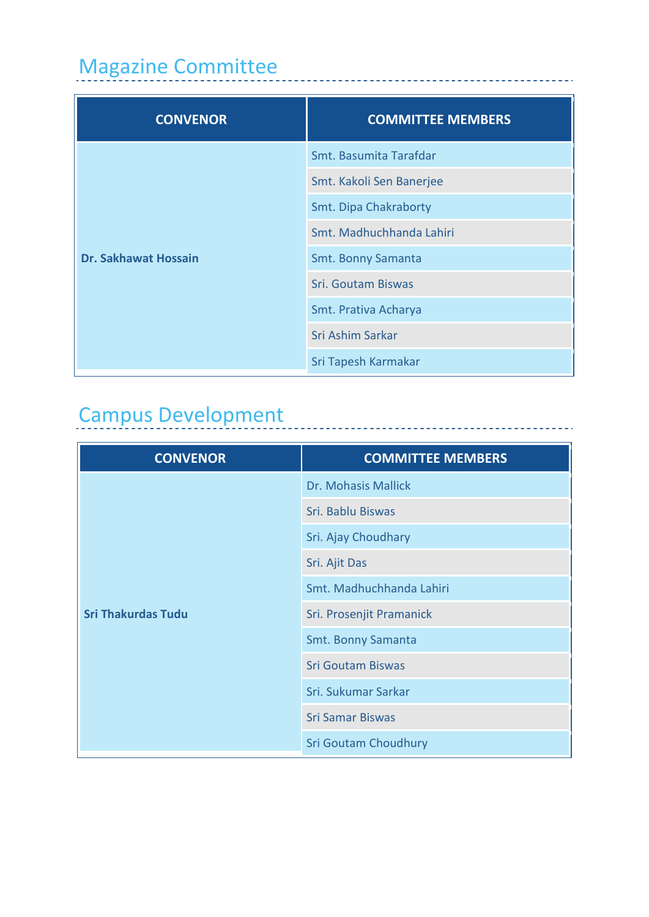## Magazine Committee

| <b>CONVENOR</b>             | <b>COMMITTEE MEMBERS</b>  |
|-----------------------------|---------------------------|
|                             | Smt. Basumita Tarafdar    |
|                             | Smt. Kakoli Sen Banerjee  |
|                             | Smt. Dipa Chakraborty     |
|                             | Smt. Madhuchhanda Lahiri  |
| <b>Dr. Sakhawat Hossain</b> | Smt. Bonny Samanta        |
|                             | <b>Sri. Goutam Biswas</b> |
|                             | Smt. Prativa Acharya      |
|                             | Sri Ashim Sarkar          |
|                             | Sri Tapesh Karmakar       |

. . . . . . . . .

 $\pm$   $\pm$   $\pm$   $\pm$ 

# Campus Development

| <b>CONVENOR</b>           | <b>COMMITTEE MEMBERS</b>    |
|---------------------------|-----------------------------|
|                           | Dr. Mohasis Mallick         |
|                           | Sri. Bablu Biswas           |
|                           | Sri. Ajay Choudhary         |
|                           | Sri. Ajit Das               |
|                           | Smt. Madhuchhanda Lahiri    |
| <b>Sri Thakurdas Tudu</b> | Sri. Prosenjit Pramanick    |
|                           | Smt. Bonny Samanta          |
|                           | <b>Sri Goutam Biswas</b>    |
|                           | Sri. Sukumar Sarkar         |
|                           | <b>Sri Samar Biswas</b>     |
|                           | <b>Sri Goutam Choudhury</b> |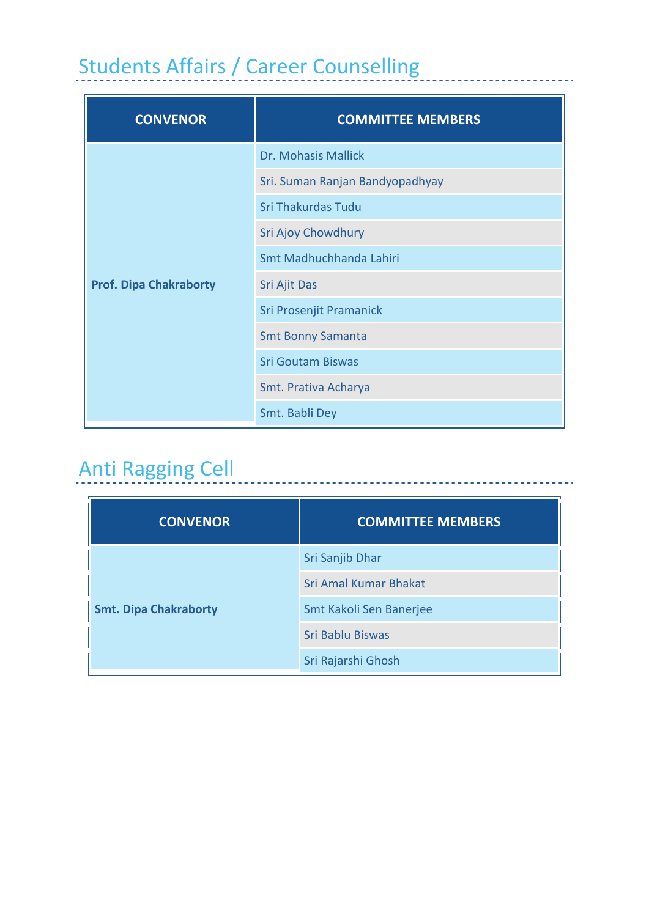# Students Affairs / Career Counselling

| <b>CONVENOR</b>               | <b>COMMITTEE MEMBERS</b>        |
|-------------------------------|---------------------------------|
|                               | Dr. Mohasis Mallick             |
|                               | Sri. Suman Ranjan Bandyopadhyay |
|                               | Sri Thakurdas Tudu              |
|                               | Sri Ajoy Chowdhury              |
|                               | Smt Madhuchhanda Lahiri         |
| <b>Prof. Dipa Chakraborty</b> | Sri Ajit Das                    |
|                               | Sri Prosenjit Pramanick         |
|                               | <b>Smt Bonny Samanta</b>        |
|                               | <b>Sri Goutam Biswas</b>        |
|                               | Smt. Prativa Acharya            |
|                               | Smt. Babli Dey                  |

# Anti Ragging Cell

| <b>CONVENOR</b>              | <b>COMMITTEE MEMBERS</b>     |
|------------------------------|------------------------------|
| <b>Smt. Dipa Chakraborty</b> | Sri Sanjib Dhar              |
|                              | <b>Sri Amal Kumar Bhakat</b> |
|                              | Smt Kakoli Sen Banerjee      |
|                              | Sri Bablu Biswas             |
|                              | Sri Rajarshi Ghosh           |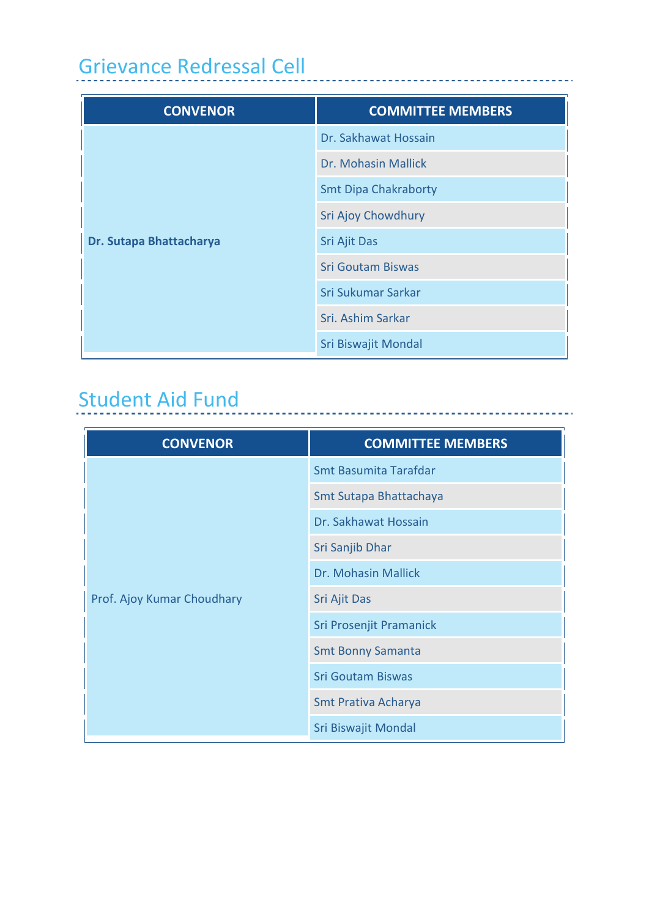# Grievance Redressal Cell

| <b>CONVENOR</b>         | <b>COMMITTEE MEMBERS</b>    |
|-------------------------|-----------------------------|
| Dr. Sutapa Bhattacharya | Dr. Sakhawat Hossain        |
|                         | Dr. Mohasin Mallick         |
|                         | <b>Smt Dipa Chakraborty</b> |
|                         | Sri Ajoy Chowdhury          |
|                         | Sri Ajit Das                |
|                         | <b>Sri Goutam Biswas</b>    |
|                         | Sri Sukumar Sarkar          |
|                         | Sri. Ashim Sarkar           |
|                         | Sri Biswajit Mondal         |

---------------------------------

### Student Aid Fund

| <b>CONVENOR</b>            | <b>COMMITTEE MEMBERS</b>     |
|----------------------------|------------------------------|
| Prof. Ajoy Kumar Choudhary | <b>Smt Basumita Tarafdar</b> |
|                            | Smt Sutapa Bhattachaya       |
|                            | Dr. Sakhawat Hossain         |
|                            | Sri Sanjib Dhar              |
|                            | Dr. Mohasin Mallick          |
|                            | Sri Ajit Das                 |
|                            | Sri Prosenjit Pramanick      |
|                            | <b>Smt Bonny Samanta</b>     |
|                            | <b>Sri Goutam Biswas</b>     |
|                            | Smt Prativa Acharya          |
|                            | Sri Biswajit Mondal          |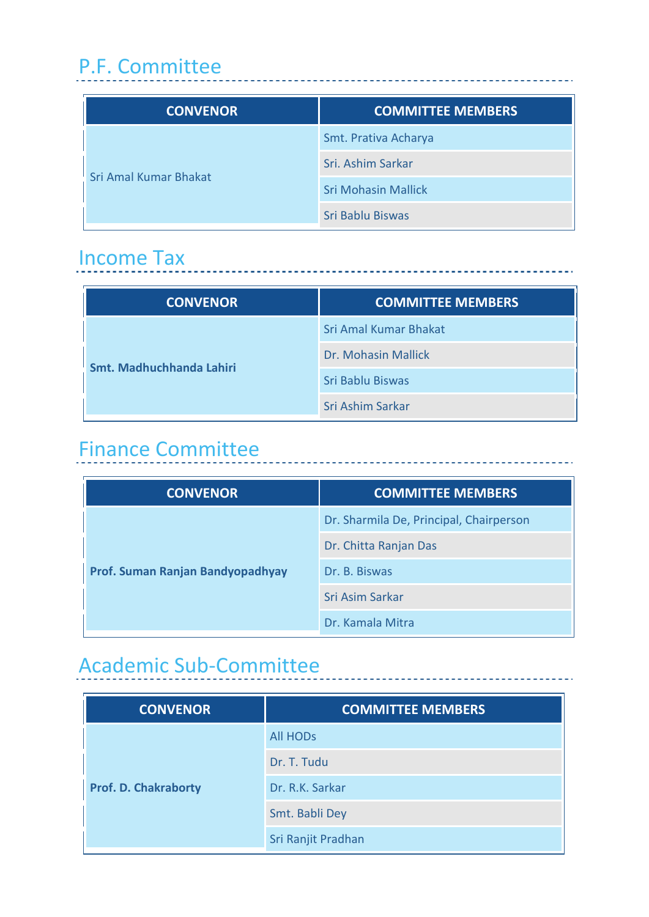## P.F. Committee

| <b>CONVENOR</b>              | <b>COMMITTEE MEMBERS</b>   |
|------------------------------|----------------------------|
| <b>Sri Amal Kumar Bhakat</b> | Smt. Prativa Acharya       |
|                              | Sri. Ashim Sarkar          |
|                              | <b>Sri Mohasin Mallick</b> |
|                              | Sri Bablu Biswas           |

#### Income Tax

| <b>CONVENOR</b>          | <b>COMMITTEE MEMBERS</b>     |
|--------------------------|------------------------------|
| Smt. Madhuchhanda Lahiri | <b>Sri Amal Kumar Bhakat</b> |
|                          | Dr. Mohasin Mallick          |
|                          | Sri Bablu Biswas             |
|                          | Sri Ashim Sarkar             |

### Finance Committee

| <b>CONVENOR</b>                  | <b>COMMITTEE MEMBERS</b>                |
|----------------------------------|-----------------------------------------|
| Prof. Suman Ranjan Bandyopadhyay | Dr. Sharmila De, Principal, Chairperson |
|                                  | Dr. Chitta Ranjan Das                   |
|                                  | Dr. B. Biswas                           |
|                                  | Sri Asim Sarkar                         |
|                                  | Dr. Kamala Mitra                        |

## Academic Sub-Committee

| <b>CONVENOR</b>             | <b>COMMITTEE MEMBERS</b> |
|-----------------------------|--------------------------|
| <b>Prof. D. Chakraborty</b> | <b>All HODS</b>          |
|                             | Dr. T. Tudu              |
|                             | Dr. R.K. Sarkar          |
|                             | Smt. Babli Dey           |
|                             | Sri Ranjit Pradhan       |